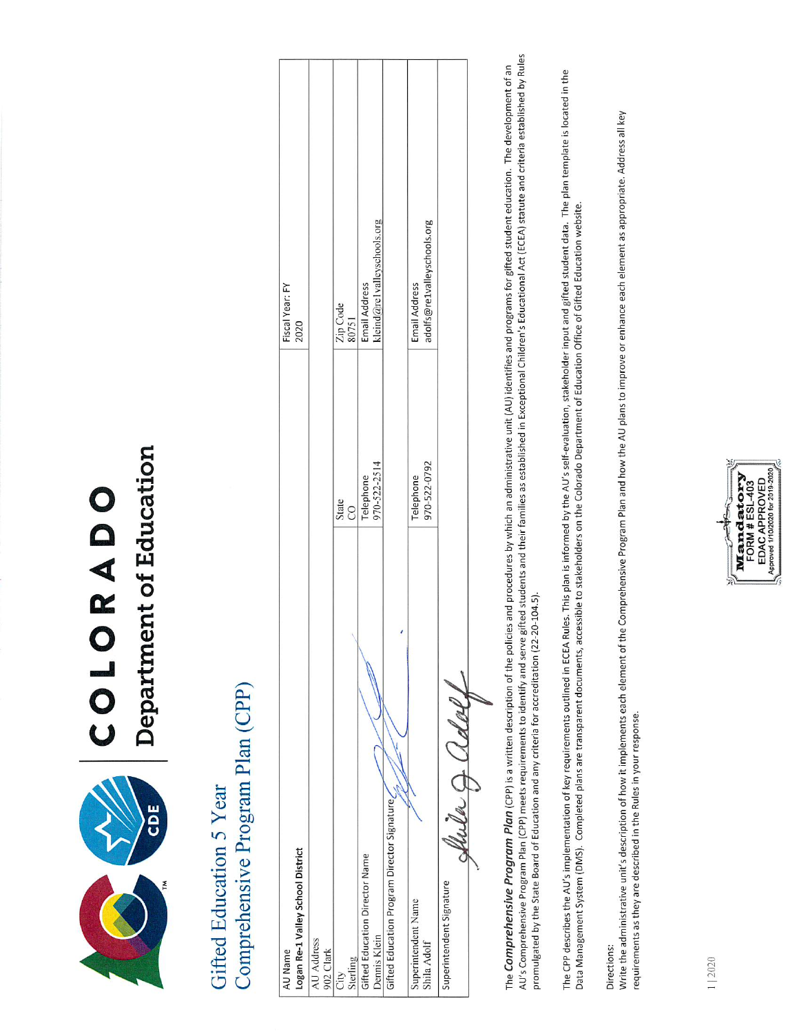

# Department of Education COLORADO

# Comprehensive Program Plan (CPP) Gifted Education 5 Year

| AU Name                                     | Fiscal Year: FY                             |  |
|---------------------------------------------|---------------------------------------------|--|
| Logan Re-1 Valley School District           | 2020                                        |  |
| AU Address                                  |                                             |  |
| 902 Clark                                   |                                             |  |
| State<br>CO<br>City                         |                                             |  |
| Sterling                                    | Zip Code<br>80751                           |  |
| Telephone<br>Gifted Education Director Name | Email Address                               |  |
| Dennis Klein                                | kleind@re1valleyschools.org<br>970-522-2514 |  |
| Gifted Education Program Director Signature |                                             |  |
| Telephone<br>Superintendent Name            | Email Address                               |  |
| Shila Adolf                                 | adolfs@re1valleyschools.org<br>970-522-0792 |  |
| Superintendent Signature                    |                                             |  |
| Caller a Cl of out                          |                                             |  |
|                                             |                                             |  |

AU's Comprehensive Program Plan (CPP) meets requirements to identify and serve gifted students and their families as established in Exceptional Children's Educational Act (ECEA) statute and criteria established by Rules The Comprehensive Program Plan (CPP) is a written description of the policies and procedures by which an administrative unit (AU) identifies and programs for gifted student education. The development of an promulgated by the State Board of Education and any criteria for accreditation (22-20-104.5).

The CPP describes the AU's implementation of key requirements outlined in ECEA Rules. This plan is informed by the AU's self-evaluation, stakeholder input and gifted student data. The plan template is located in the Data Management System (DMS). Completed plans are transparent documents, accessible to stakeholders on the Colorado Department of Education Office of Gifted Education website.

Directions:

Write the administrative unit's description of how it implements each element of the Comprehensive Program Plan and how the AU plans to improve or enhance each element as appropriate. Address all key requirements as they are described in the Rules in your response.

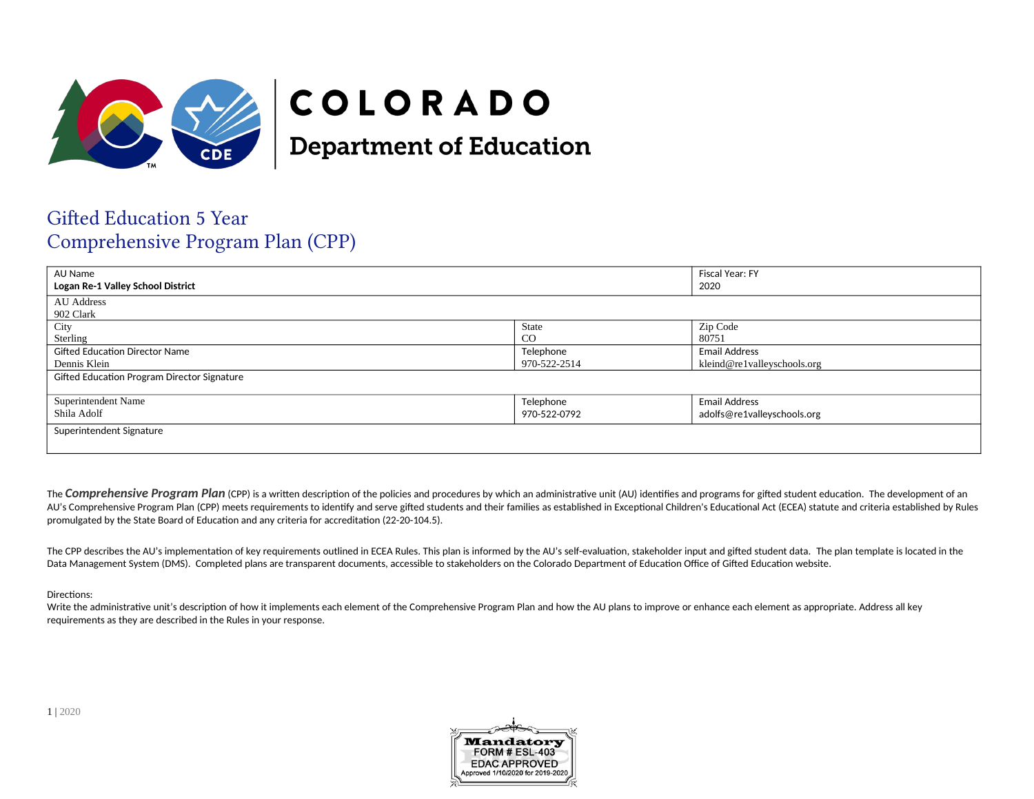

## COLORADO

**Department of Education** 

## **Gifted Education 5 Year** Comprehensive Program Plan (CPP)

| AU Name<br>Logan Re-1 Valley School District |               | Fiscal Year: FY<br>2020     |  |
|----------------------------------------------|---------------|-----------------------------|--|
| <b>AU Address</b>                            |               |                             |  |
| 902 Clark<br>City                            | State         | Zip Code                    |  |
| Sterling                                     | <sub>CO</sub> | 80751                       |  |
| <b>Gifted Education Director Name</b>        | Telephone     | <b>Email Address</b>        |  |
| Dennis Klein<br>970-522-2514                 |               | kleind@re1valleyschools.org |  |
| Gifted Education Program Director Signature  |               |                             |  |
|                                              |               |                             |  |
| Superintendent Name                          | Telephone     | <b>Email Address</b>        |  |
| Shila Adolf<br>970-522-0792                  |               | adolfs@re1valleyschools.org |  |
| Superintendent Signature                     |               |                             |  |
|                                              |               |                             |  |

The Comprehensive Program Plan (CPP) is a written description of the policies and procedures by which an administrative unit (AU) identifies and programs for gifted student education. The development of an AU's Comprehensive Program Plan (CPP) meets requirements to identify and serve gifted students and their families as established in Exceptional Children's Educational Act (ECEA) statute and criteria established by Rules promulgated by the State Board of Education and any criteria for accreditation (22-20-104.5).

The CPP describes the AU's implementation of key requirements outlined in ECEA Rules. This plan is informed by the AU's self-evaluation, stakeholder input and gifted student data. The plan template is located in the Data Management System (DMS). Completed plans are transparent documents, accessible to stakeholders on the Colorado Department of Education Office of Gifted Education website.

Directions:

Write the administrative unit's description of how it implements each element of the Comprehensive Program Plan and how the AU plans to improve or enhance each element as appropriate. Address all key requirements as they are described in the Rules in your response.



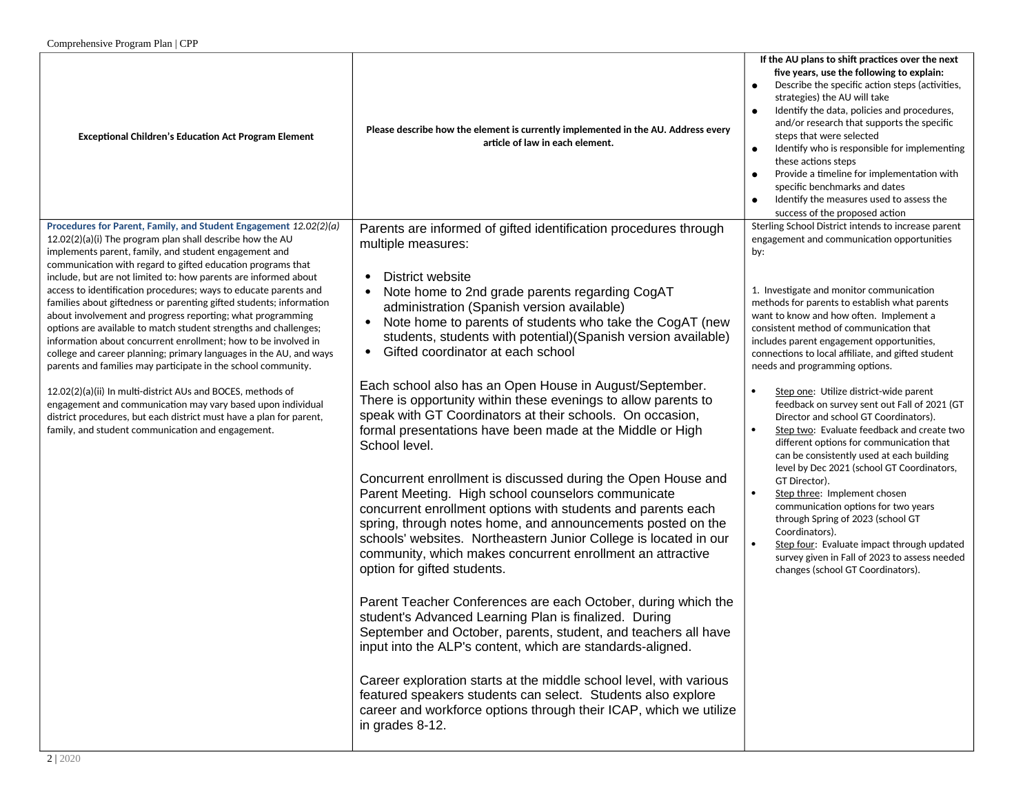|                                                                                                                                                                                                                                                                                                                                                                                                                                                                                                                                                                                                                                                                                                                                                                                                                                                                                |                                                                                                                                                                                                                                                                                                                                                                                                                                                                                                                                                                                                                                                                                                                                                                                                                                                                                                                                                                                          | If the AU plans to shift practices over the next                                                                                                                                                                                                                                                                                                                                                                                                                                                                                                                                                                                                                                                                                                                                                                                                                                           |
|--------------------------------------------------------------------------------------------------------------------------------------------------------------------------------------------------------------------------------------------------------------------------------------------------------------------------------------------------------------------------------------------------------------------------------------------------------------------------------------------------------------------------------------------------------------------------------------------------------------------------------------------------------------------------------------------------------------------------------------------------------------------------------------------------------------------------------------------------------------------------------|------------------------------------------------------------------------------------------------------------------------------------------------------------------------------------------------------------------------------------------------------------------------------------------------------------------------------------------------------------------------------------------------------------------------------------------------------------------------------------------------------------------------------------------------------------------------------------------------------------------------------------------------------------------------------------------------------------------------------------------------------------------------------------------------------------------------------------------------------------------------------------------------------------------------------------------------------------------------------------------|--------------------------------------------------------------------------------------------------------------------------------------------------------------------------------------------------------------------------------------------------------------------------------------------------------------------------------------------------------------------------------------------------------------------------------------------------------------------------------------------------------------------------------------------------------------------------------------------------------------------------------------------------------------------------------------------------------------------------------------------------------------------------------------------------------------------------------------------------------------------------------------------|
| <b>Exceptional Children's Education Act Program Element</b>                                                                                                                                                                                                                                                                                                                                                                                                                                                                                                                                                                                                                                                                                                                                                                                                                    | Please describe how the element is currently implemented in the AU. Address every<br>article of law in each element.                                                                                                                                                                                                                                                                                                                                                                                                                                                                                                                                                                                                                                                                                                                                                                                                                                                                     | five years, use the following to explain:<br>Describe the specific action steps (activities,<br>strategies) the AU will take<br>Identify the data, policies and procedures,<br>and/or research that supports the specific<br>steps that were selected<br>Identify who is responsible for implementing<br>$\bullet$<br>these actions steps<br>Provide a timeline for implementation with<br>specific benchmarks and dates<br>Identify the measures used to assess the<br>success of the proposed action                                                                                                                                                                                                                                                                                                                                                                                     |
| Procedures for Parent, Family, and Student Engagement 12.02(2)(a)<br>$12.02(2)(a)(i)$ The program plan shall describe how the AU<br>implements parent, family, and student engagement and                                                                                                                                                                                                                                                                                                                                                                                                                                                                                                                                                                                                                                                                                      | Parents are informed of gifted identification procedures through<br>multiple measures:                                                                                                                                                                                                                                                                                                                                                                                                                                                                                                                                                                                                                                                                                                                                                                                                                                                                                                   | Sterling School District intends to increase parent<br>engagement and communication opportunities<br>by:                                                                                                                                                                                                                                                                                                                                                                                                                                                                                                                                                                                                                                                                                                                                                                                   |
| communication with regard to gifted education programs that<br>include, but are not limited to: how parents are informed about<br>access to identification procedures; ways to educate parents and<br>families about giftedness or parenting gifted students; information<br>about involvement and progress reporting; what programming<br>options are available to match student strengths and challenges;<br>information about concurrent enrollment; how to be involved in<br>college and career planning; primary languages in the AU, and ways<br>parents and families may participate in the school community.<br>12.02(2)(a)(ii) In multi-district AUs and BOCES, methods of<br>engagement and communication may vary based upon individual<br>district procedures, but each district must have a plan for parent,<br>family, and student communication and engagement. | District website<br>$\bullet$<br>Note home to 2nd grade parents regarding CogAT<br>administration (Spanish version available)<br>Note home to parents of students who take the CogAT (new<br>$\bullet$<br>students, students with potential)(Spanish version available)<br>Gifted coordinator at each school<br>$\bullet$<br>Each school also has an Open House in August/September.<br>There is opportunity within these evenings to allow parents to<br>speak with GT Coordinators at their schools. On occasion,<br>formal presentations have been made at the Middle or High<br>School level.<br>Concurrent enrollment is discussed during the Open House and<br>Parent Meeting. High school counselors communicate<br>concurrent enrollment options with students and parents each<br>spring, through notes home, and announcements posted on the<br>schools' websites. Northeastern Junior College is located in our<br>community, which makes concurrent enrollment an attractive | 1. Investigate and monitor communication<br>methods for parents to establish what parents<br>want to know and how often. Implement a<br>consistent method of communication that<br>includes parent engagement opportunities,<br>connections to local affiliate, and gifted student<br>needs and programming options.<br>Step one: Utilize district-wide parent<br>feedback on survey sent out Fall of 2021 (GT<br>Director and school GT Coordinators).<br>Step two: Evaluate feedback and create two<br>different options for communication that<br>can be consistently used at each building<br>level by Dec 2021 (school GT Coordinators,<br>GT Director).<br>Step three: Implement chosen<br>communication options for two years<br>through Spring of 2023 (school GT<br>Coordinators).<br>Step four: Evaluate impact through updated<br>survey given in Fall of 2023 to assess needed |
|                                                                                                                                                                                                                                                                                                                                                                                                                                                                                                                                                                                                                                                                                                                                                                                                                                                                                | option for gifted students.<br>Parent Teacher Conferences are each October, during which the<br>student's Advanced Learning Plan is finalized. During<br>September and October, parents, student, and teachers all have<br>input into the ALP's content, which are standards-aligned.                                                                                                                                                                                                                                                                                                                                                                                                                                                                                                                                                                                                                                                                                                    | changes (school GT Coordinators).                                                                                                                                                                                                                                                                                                                                                                                                                                                                                                                                                                                                                                                                                                                                                                                                                                                          |
|                                                                                                                                                                                                                                                                                                                                                                                                                                                                                                                                                                                                                                                                                                                                                                                                                                                                                | Career exploration starts at the middle school level, with various<br>featured speakers students can select. Students also explore<br>career and workforce options through their ICAP, which we utilize<br>in grades 8-12.                                                                                                                                                                                                                                                                                                                                                                                                                                                                                                                                                                                                                                                                                                                                                               |                                                                                                                                                                                                                                                                                                                                                                                                                                                                                                                                                                                                                                                                                                                                                                                                                                                                                            |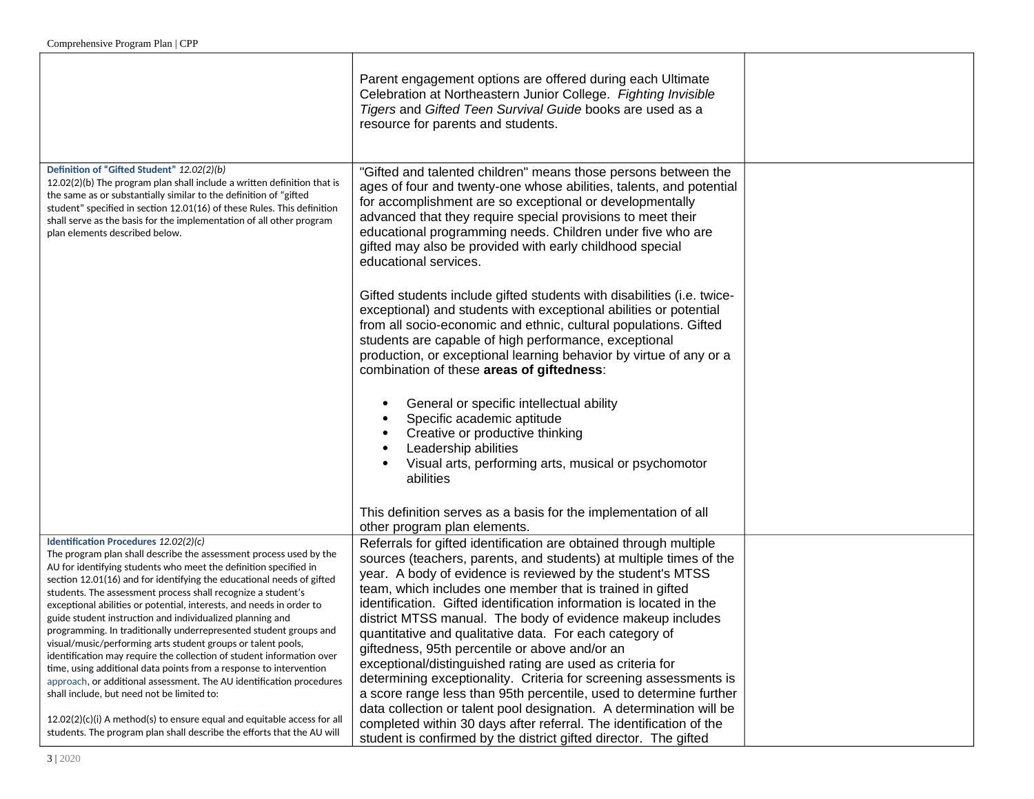|                                                                                                                                                                                                                                                                                                                                                                                                                                                                                                                                                                                                                                                                                                                                                                                                                                                                                                                                                      | Parent engagement options are offered during each Ultimate<br>Celebration at Northeastern Junior College. Fighting Invisible<br>Tigers and Gifted Teen Survival Guide books are used as a<br>resource for parents and students.                                                                                                                                                                                                                                                                                                                                                                                                                                                                                                                                                                     |  |
|------------------------------------------------------------------------------------------------------------------------------------------------------------------------------------------------------------------------------------------------------------------------------------------------------------------------------------------------------------------------------------------------------------------------------------------------------------------------------------------------------------------------------------------------------------------------------------------------------------------------------------------------------------------------------------------------------------------------------------------------------------------------------------------------------------------------------------------------------------------------------------------------------------------------------------------------------|-----------------------------------------------------------------------------------------------------------------------------------------------------------------------------------------------------------------------------------------------------------------------------------------------------------------------------------------------------------------------------------------------------------------------------------------------------------------------------------------------------------------------------------------------------------------------------------------------------------------------------------------------------------------------------------------------------------------------------------------------------------------------------------------------------|--|
| Definition of "Gifted Student" 12.02(2)(b)<br>$12.02(2)(b)$ The program plan shall include a written definition that is<br>the same as or substantially similar to the definition of "gifted<br>student" specified in section 12.01(16) of these Rules. This definition<br>shall serve as the basis for the implementation of all other program<br>plan elements described below.                                                                                                                                                                                                                                                                                                                                                                                                                                                                                                                                                                    | "Gifted and talented children" means those persons between the<br>ages of four and twenty-one whose abilities, talents, and potential<br>for accomplishment are so exceptional or developmentally<br>advanced that they require special provisions to meet their<br>educational programming needs. Children under five who are<br>gifted may also be provided with early childhood special<br>educational services.                                                                                                                                                                                                                                                                                                                                                                                 |  |
|                                                                                                                                                                                                                                                                                                                                                                                                                                                                                                                                                                                                                                                                                                                                                                                                                                                                                                                                                      | Gifted students include gifted students with disabilities (i.e. twice-<br>exceptional) and students with exceptional abilities or potential<br>from all socio-economic and ethnic, cultural populations. Gifted<br>students are capable of high performance, exceptional<br>production, or exceptional learning behavior by virtue of any or a<br>combination of these areas of giftedness:                                                                                                                                                                                                                                                                                                                                                                                                         |  |
|                                                                                                                                                                                                                                                                                                                                                                                                                                                                                                                                                                                                                                                                                                                                                                                                                                                                                                                                                      | General or specific intellectual ability<br>Specific academic aptitude<br>Creative or productive thinking<br>Leadership abilities<br>Visual arts, performing arts, musical or psychomotor<br>abilities                                                                                                                                                                                                                                                                                                                                                                                                                                                                                                                                                                                              |  |
|                                                                                                                                                                                                                                                                                                                                                                                                                                                                                                                                                                                                                                                                                                                                                                                                                                                                                                                                                      | This definition serves as a basis for the implementation of all<br>other program plan elements.                                                                                                                                                                                                                                                                                                                                                                                                                                                                                                                                                                                                                                                                                                     |  |
| Identification Procedures 12.02(2)(c)<br>The program plan shall describe the assessment process used by the<br>AU for identifying students who meet the definition specified in<br>section 12.01(16) and for identifying the educational needs of gifted<br>students. The assessment process shall recognize a student's<br>exceptional abilities or potential, interests, and needs in order to<br>guide student instruction and individualized planning and<br>programming. In traditionally underrepresented student groups and<br>visual/music/performing arts student groups or talent pools,<br>identification may require the collection of student information over<br>time, using additional data points from a response to intervention<br>approach, or additional assessment. The AU identification procedures<br>shall include, but need not be limited to:<br>$12.02(2)(c)(i)$ A method(s) to ensure equal and equitable access for all | Referrals for gifted identification are obtained through multiple<br>sources (teachers, parents, and students) at multiple times of the<br>year. A body of evidence is reviewed by the student's MTSS<br>team, which includes one member that is trained in gifted<br>identification. Gifted identification information is located in the<br>district MTSS manual. The body of evidence makeup includes<br>quantitative and qualitative data. For each category of<br>giftedness, 95th percentile or above and/or an<br>exceptional/distinguished rating are used as criteria for<br>determining exceptionality. Criteria for screening assessments is<br>a score range less than 95th percentile, used to determine further<br>data collection or talent pool designation. A determination will be |  |
| students. The program plan shall describe the efforts that the AU will                                                                                                                                                                                                                                                                                                                                                                                                                                                                                                                                                                                                                                                                                                                                                                                                                                                                               | completed within 30 days after referral. The identification of the<br>student is confirmed by the district gifted director. The gifted                                                                                                                                                                                                                                                                                                                                                                                                                                                                                                                                                                                                                                                              |  |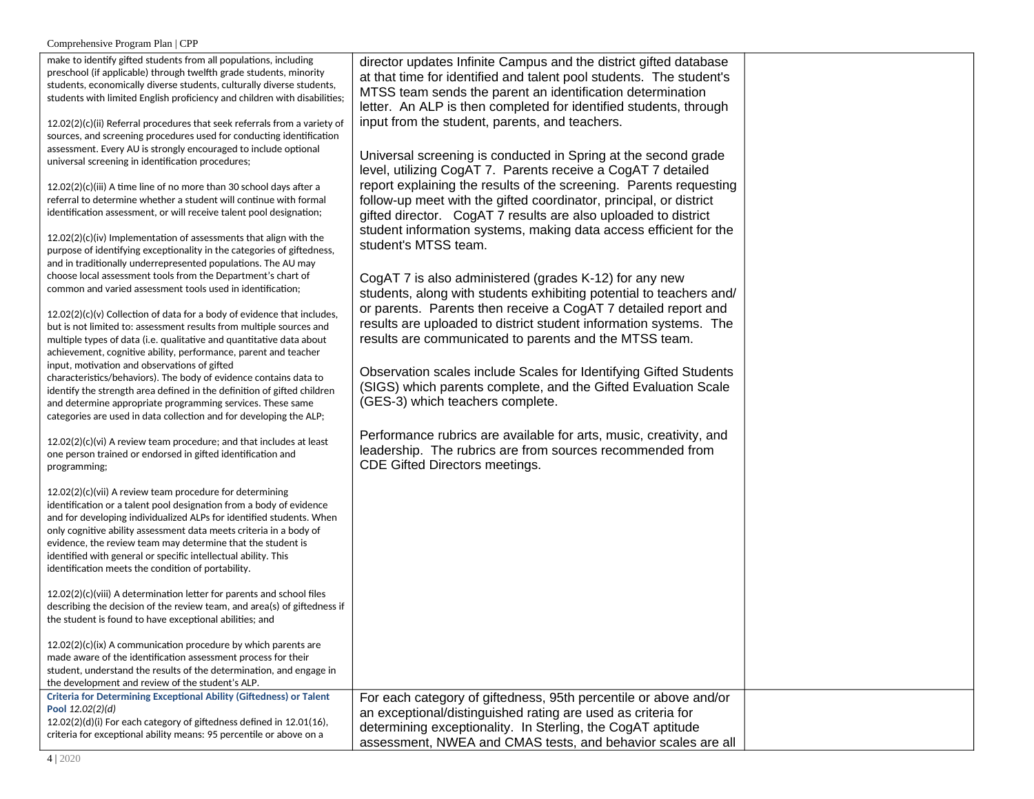| make to identify gifted students from all populations, including<br>preschool (if applicable) through twelfth grade students, minority<br>students, economically diverse students, culturally diverse students,<br>students with limited English proficiency and children with disabilities;                                                                                                                                                                           | director updates Infinite Campus and the district gifted database<br>at that time for identified and talent pool students. The student's<br>MTSS team sends the parent an identification determination<br>letter. An ALP is then completed for identified students, through |  |
|------------------------------------------------------------------------------------------------------------------------------------------------------------------------------------------------------------------------------------------------------------------------------------------------------------------------------------------------------------------------------------------------------------------------------------------------------------------------|-----------------------------------------------------------------------------------------------------------------------------------------------------------------------------------------------------------------------------------------------------------------------------|--|
| $12.02(2)(c)(ii)$ Referral procedures that seek referrals from a variety of<br>sources, and screening procedures used for conducting identification<br>assessment. Every AU is strongly encouraged to include optional<br>universal screening in identification procedures;                                                                                                                                                                                            | input from the student, parents, and teachers.<br>Universal screening is conducted in Spring at the second grade                                                                                                                                                            |  |
| 12.02(2)(c)(iii) A time line of no more than 30 school days after a<br>referral to determine whether a student will continue with formal<br>identification assessment, or will receive talent pool designation;                                                                                                                                                                                                                                                        | level, utilizing CogAT 7. Parents receive a CogAT 7 detailed<br>report explaining the results of the screening. Parents requesting<br>follow-up meet with the gifted coordinator, principal, or district<br>gifted director. CogAT 7 results are also uploaded to district  |  |
| 12.02(2)(c)(iv) Implementation of assessments that align with the<br>purpose of identifying exceptionality in the categories of giftedness,<br>and in traditionally underrepresented populations. The AU may                                                                                                                                                                                                                                                           | student information systems, making data access efficient for the<br>student's MTSS team.                                                                                                                                                                                   |  |
| choose local assessment tools from the Department's chart of<br>common and varied assessment tools used in identification;                                                                                                                                                                                                                                                                                                                                             | CogAT 7 is also administered (grades K-12) for any new<br>students, along with students exhibiting potential to teachers and/<br>or parents. Parents then receive a CogAT 7 detailed report and                                                                             |  |
| 12.02(2)(c)(v) Collection of data for a body of evidence that includes,<br>but is not limited to: assessment results from multiple sources and<br>multiple types of data (i.e. qualitative and quantitative data about<br>achievement, cognitive ability, performance, parent and teacher                                                                                                                                                                              | results are uploaded to district student information systems. The<br>results are communicated to parents and the MTSS team.                                                                                                                                                 |  |
| input, motivation and observations of gifted<br>characteristics/behaviors). The body of evidence contains data to<br>identify the strength area defined in the definition of gifted children<br>and determine appropriate programming services. These same<br>categories are used in data collection and for developing the ALP;                                                                                                                                       | Observation scales include Scales for Identifying Gifted Students<br>(SIGS) which parents complete, and the Gifted Evaluation Scale<br>(GES-3) which teachers complete.                                                                                                     |  |
| 12.02(2)(c)(vi) A review team procedure; and that includes at least<br>one person trained or endorsed in gifted identification and<br>programming;                                                                                                                                                                                                                                                                                                                     | Performance rubrics are available for arts, music, creativity, and<br>leadership. The rubrics are from sources recommended from<br>CDE Gifted Directors meetings.                                                                                                           |  |
| $12.02(2)(c)(vii)$ A review team procedure for determining<br>identification or a talent pool designation from a body of evidence<br>and for developing individualized ALPs for identified students. When<br>only cognitive ability assessment data meets criteria in a body of<br>evidence, the review team may determine that the student is<br>identified with general or specific intellectual ability. This<br>identification meets the condition of portability. |                                                                                                                                                                                                                                                                             |  |
| 12.02(2)(c)(viii) A determination letter for parents and school files<br>describing the decision of the review team, and area(s) of giftedness if<br>the student is found to have exceptional abilities; and                                                                                                                                                                                                                                                           |                                                                                                                                                                                                                                                                             |  |
| $12.02(2)(c)(ix)$ A communication procedure by which parents are<br>made aware of the identification assessment process for their<br>student, understand the results of the determination, and engage in<br>the development and review of the student's ALP.                                                                                                                                                                                                           |                                                                                                                                                                                                                                                                             |  |
| <b>Criteria for Determining Exceptional Ability (Giftedness) or Talent</b><br>Pool 12.02(2)(d)<br>12.02(2)(d)(i) For each category of giftedness defined in 12.01(16),<br>criteria for exceptional ability means: 95 percentile or above on a                                                                                                                                                                                                                          | For each category of giftedness, 95th percentile or above and/or<br>an exceptional/distinguished rating are used as criteria for<br>determining exceptionality. In Sterling, the CogAT aptitude<br>assessment, NWEA and CMAS tests, and behavior scales are all             |  |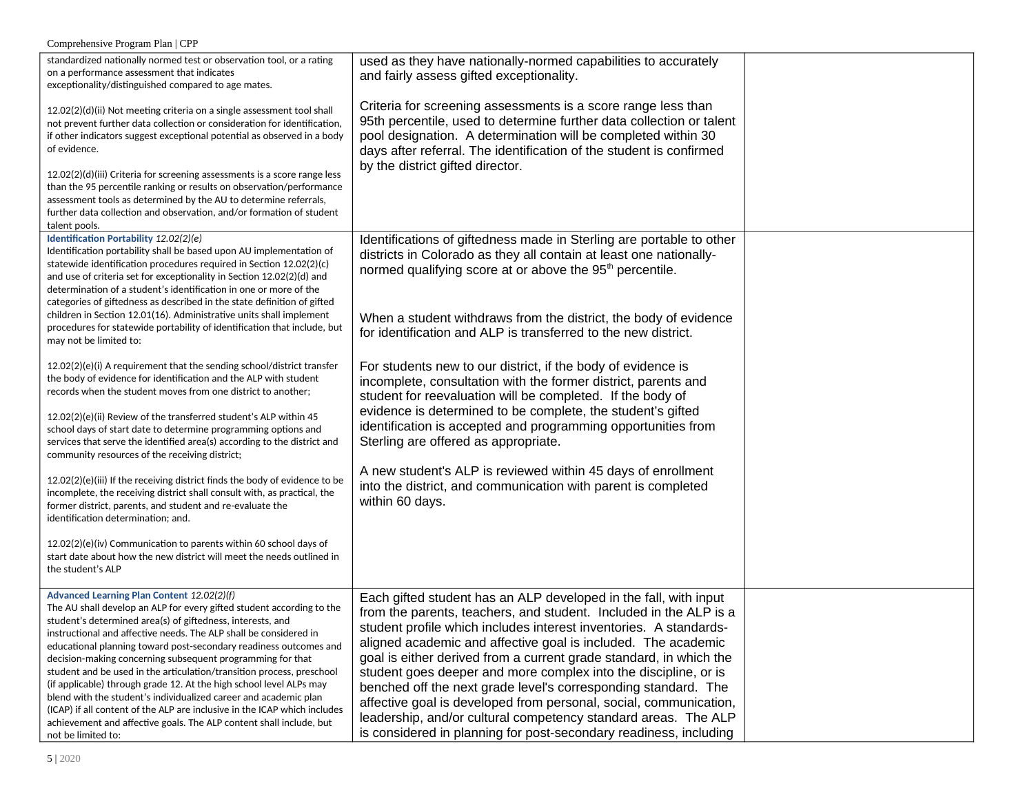| Comprehensive Program Plan   CPP                                                                                                                                                                                                                                                                                                                                                                                                                                                                                                                                                                                                                                                                                                                                                                                                                                                                                 |                                                                                                                                                                                                                                                                                                                                                                                                                                                                                                                                                                                                                                                                                                    |  |
|------------------------------------------------------------------------------------------------------------------------------------------------------------------------------------------------------------------------------------------------------------------------------------------------------------------------------------------------------------------------------------------------------------------------------------------------------------------------------------------------------------------------------------------------------------------------------------------------------------------------------------------------------------------------------------------------------------------------------------------------------------------------------------------------------------------------------------------------------------------------------------------------------------------|----------------------------------------------------------------------------------------------------------------------------------------------------------------------------------------------------------------------------------------------------------------------------------------------------------------------------------------------------------------------------------------------------------------------------------------------------------------------------------------------------------------------------------------------------------------------------------------------------------------------------------------------------------------------------------------------------|--|
| standardized nationally normed test or observation tool, or a rating<br>on a performance assessment that indicates<br>exceptionality/distinguished compared to age mates.                                                                                                                                                                                                                                                                                                                                                                                                                                                                                                                                                                                                                                                                                                                                        | used as they have nationally-normed capabilities to accurately<br>and fairly assess gifted exceptionality.                                                                                                                                                                                                                                                                                                                                                                                                                                                                                                                                                                                         |  |
| 12.02(2)(d)(ii) Not meeting criteria on a single assessment tool shall<br>not prevent further data collection or consideration for identification,<br>if other indicators suggest exceptional potential as observed in a body<br>of evidence.<br>12.02(2)(d)(iii) Criteria for screening assessments is a score range less<br>than the 95 percentile ranking or results on observation/performance<br>assessment tools as determined by the AU to determine referrals,<br>further data collection and observation, and/or formation of student<br>talent pools.                                                                                                                                                                                                                                                                                                                                                  | Criteria for screening assessments is a score range less than<br>95th percentile, used to determine further data collection or talent<br>pool designation. A determination will be completed within 30<br>days after referral. The identification of the student is confirmed<br>by the district gifted director.                                                                                                                                                                                                                                                                                                                                                                                  |  |
| Identification Portability 12.02(2)(e)<br>Identification portability shall be based upon AU implementation of<br>statewide identification procedures required in Section 12.02(2)(c)<br>and use of criteria set for exceptionality in Section 12.02(2)(d) and<br>determination of a student's identification in one or more of the<br>categories of giftedness as described in the state definition of gifted<br>children in Section 12.01(16). Administrative units shall implement<br>procedures for statewide portability of identification that include, but<br>may not be limited to:                                                                                                                                                                                                                                                                                                                       | Identifications of giftedness made in Sterling are portable to other<br>districts in Colorado as they all contain at least one nationally-<br>normed qualifying score at or above the 95 <sup>th</sup> percentile.<br>When a student withdraws from the district, the body of evidence<br>for identification and ALP is transferred to the new district.                                                                                                                                                                                                                                                                                                                                           |  |
| 12.02(2)(e)(i) A requirement that the sending school/district transfer<br>the body of evidence for identification and the ALP with student<br>records when the student moves from one district to another;<br>12.02(2)(e)(ii) Review of the transferred student's ALP within 45<br>school days of start date to determine programming options and<br>services that serve the identified area(s) according to the district and<br>community resources of the receiving district;<br>12.02(2)(e)(iii) If the receiving district finds the body of evidence to be<br>incomplete, the receiving district shall consult with, as practical, the<br>former district, parents, and student and re-evaluate the<br>identification determination; and.<br>12.02(2)(e)(iv) Communication to parents within 60 school days of<br>start date about how the new district will meet the needs outlined in<br>the student's ALP | For students new to our district, if the body of evidence is<br>incomplete, consultation with the former district, parents and<br>student for reevaluation will be completed. If the body of<br>evidence is determined to be complete, the student's gifted<br>identification is accepted and programming opportunities from<br>Sterling are offered as appropriate.<br>A new student's ALP is reviewed within 45 days of enrollment<br>into the district, and communication with parent is completed<br>within 60 days.                                                                                                                                                                           |  |
| Advanced Learning Plan Content 12.02(2)(f)<br>The AU shall develop an ALP for every gifted student according to the<br>student's determined area(s) of giftedness, interests, and<br>instructional and affective needs. The ALP shall be considered in<br>educational planning toward post-secondary readiness outcomes and<br>decision-making concerning subsequent programming for that<br>student and be used in the articulation/transition process, preschool<br>(if applicable) through grade 12. At the high school level ALPs may<br>blend with the student's individualized career and academic plan<br>(ICAP) if all content of the ALP are inclusive in the ICAP which includes<br>achievement and affective goals. The ALP content shall include, but<br>not be limited to:                                                                                                                          | Each gifted student has an ALP developed in the fall, with input<br>from the parents, teachers, and student. Included in the ALP is a<br>student profile which includes interest inventories. A standards-<br>aligned academic and affective goal is included. The academic<br>goal is either derived from a current grade standard, in which the<br>student goes deeper and more complex into the discipline, or is<br>benched off the next grade level's corresponding standard. The<br>affective goal is developed from personal, social, communication,<br>leadership, and/or cultural competency standard areas. The ALP<br>is considered in planning for post-secondary readiness, including |  |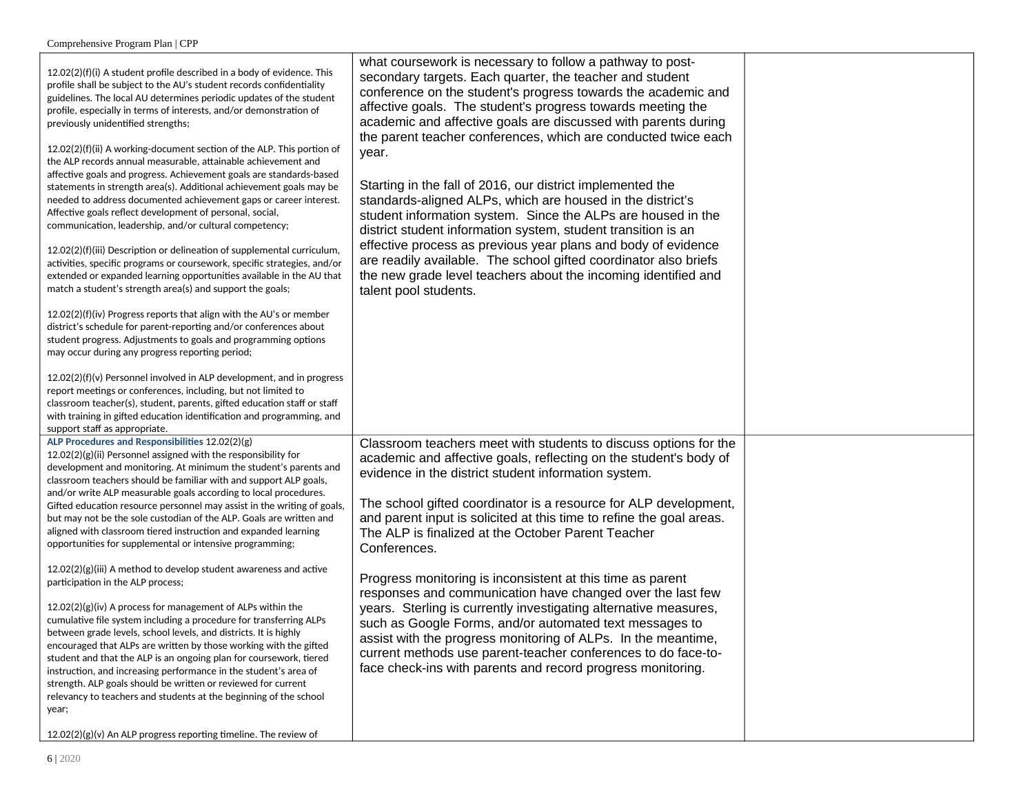| 12.02(2)(f)(i) A student profile described in a body of evidence. This<br>profile shall be subject to the AU's student records confidentiality<br>guidelines. The local AU determines periodic updates of the student<br>profile, especially in terms of interests, and/or demonstration of<br>previously unidentified strengths;<br>12.02(2)(f)(ii) A working-document section of the ALP. This portion of<br>the ALP records annual measurable, attainable achievement and<br>affective goals and progress. Achievement goals are standards-based<br>statements in strength area(s). Additional achievement goals may be<br>needed to address documented achievement gaps or career interest.<br>Affective goals reflect development of personal, social,<br>communication, leadership, and/or cultural competency;<br>12.02(2)(f)(iii) Description or delineation of supplemental curriculum,<br>activities, specific programs or coursework, specific strategies, and/or<br>extended or expanded learning opportunities available in the AU that<br>match a student's strength area(s) and support the goals;<br>12.02(2)(f)(iv) Progress reports that align with the AU's or member<br>district's schedule for parent-reporting and/or conferences about<br>student progress. Adjustments to goals and programming options<br>may occur during any progress reporting period;<br>12.02(2)(f)(v) Personnel involved in ALP development, and in progress<br>report meetings or conferences, including, but not limited to<br>classroom teacher(s), student, parents, gifted education staff or staff<br>with training in gifted education identification and programming, and | what coursework is necessary to follow a pathway to post-<br>secondary targets. Each quarter, the teacher and student<br>conference on the student's progress towards the academic and<br>affective goals. The student's progress towards meeting the<br>academic and affective goals are discussed with parents during<br>the parent teacher conferences, which are conducted twice each<br>year.<br>Starting in the fall of 2016, our district implemented the<br>standards-aligned ALPs, which are housed in the district's<br>student information system. Since the ALPs are housed in the<br>district student information system, student transition is an<br>effective process as previous year plans and body of evidence<br>are readily available. The school gifted coordinator also briefs<br>the new grade level teachers about the incoming identified and<br>talent pool students. |  |
|----------------------------------------------------------------------------------------------------------------------------------------------------------------------------------------------------------------------------------------------------------------------------------------------------------------------------------------------------------------------------------------------------------------------------------------------------------------------------------------------------------------------------------------------------------------------------------------------------------------------------------------------------------------------------------------------------------------------------------------------------------------------------------------------------------------------------------------------------------------------------------------------------------------------------------------------------------------------------------------------------------------------------------------------------------------------------------------------------------------------------------------------------------------------------------------------------------------------------------------------------------------------------------------------------------------------------------------------------------------------------------------------------------------------------------------------------------------------------------------------------------------------------------------------------------------------------------------------------------------------------------------------------------------------------------|-------------------------------------------------------------------------------------------------------------------------------------------------------------------------------------------------------------------------------------------------------------------------------------------------------------------------------------------------------------------------------------------------------------------------------------------------------------------------------------------------------------------------------------------------------------------------------------------------------------------------------------------------------------------------------------------------------------------------------------------------------------------------------------------------------------------------------------------------------------------------------------------------|--|
| support staff as appropriate.<br>ALP Procedures and Responsibilities 12.02(2)(g)<br>12.02(2)(g)(ii) Personnel assigned with the responsibility for<br>development and monitoring. At minimum the student's parents and                                                                                                                                                                                                                                                                                                                                                                                                                                                                                                                                                                                                                                                                                                                                                                                                                                                                                                                                                                                                                                                                                                                                                                                                                                                                                                                                                                                                                                                           | Classroom teachers meet with students to discuss options for the<br>academic and affective goals, reflecting on the student's body of                                                                                                                                                                                                                                                                                                                                                                                                                                                                                                                                                                                                                                                                                                                                                           |  |
| classroom teachers should be familiar with and support ALP goals,<br>and/or write ALP measurable goals according to local procedures.<br>Gifted education resource personnel may assist in the writing of goals,                                                                                                                                                                                                                                                                                                                                                                                                                                                                                                                                                                                                                                                                                                                                                                                                                                                                                                                                                                                                                                                                                                                                                                                                                                                                                                                                                                                                                                                                 | evidence in the district student information system.<br>The school gifted coordinator is a resource for ALP development,                                                                                                                                                                                                                                                                                                                                                                                                                                                                                                                                                                                                                                                                                                                                                                        |  |
| but may not be the sole custodian of the ALP. Goals are written and<br>aligned with classroom tiered instruction and expanded learning<br>opportunities for supplemental or intensive programming;                                                                                                                                                                                                                                                                                                                                                                                                                                                                                                                                                                                                                                                                                                                                                                                                                                                                                                                                                                                                                                                                                                                                                                                                                                                                                                                                                                                                                                                                               | and parent input is solicited at this time to refine the goal areas.<br>The ALP is finalized at the October Parent Teacher<br>Conferences.                                                                                                                                                                                                                                                                                                                                                                                                                                                                                                                                                                                                                                                                                                                                                      |  |
| $12.02(2)(g)(iii)$ A method to develop student awareness and active<br>participation in the ALP process;                                                                                                                                                                                                                                                                                                                                                                                                                                                                                                                                                                                                                                                                                                                                                                                                                                                                                                                                                                                                                                                                                                                                                                                                                                                                                                                                                                                                                                                                                                                                                                         | Progress monitoring is inconsistent at this time as parent<br>responses and communication have changed over the last few                                                                                                                                                                                                                                                                                                                                                                                                                                                                                                                                                                                                                                                                                                                                                                        |  |
| 12.02(2)(g)(iv) A process for management of ALPs within the<br>cumulative file system including a procedure for transferring ALPs<br>between grade levels, school levels, and districts. It is highly<br>encouraged that ALPs are written by those working with the gifted<br>student and that the ALP is an ongoing plan for coursework, tiered<br>instruction, and increasing performance in the student's area of<br>strength. ALP goals should be written or reviewed for current<br>relevancy to teachers and students at the beginning of the school                                                                                                                                                                                                                                                                                                                                                                                                                                                                                                                                                                                                                                                                                                                                                                                                                                                                                                                                                                                                                                                                                                                       | years. Sterling is currently investigating alternative measures,<br>such as Google Forms, and/or automated text messages to<br>assist with the progress monitoring of ALPs. In the meantime,<br>current methods use parent-teacher conferences to do face-to-<br>face check-ins with parents and record progress monitoring.                                                                                                                                                                                                                                                                                                                                                                                                                                                                                                                                                                    |  |
| year;<br>$12.02(2)(g)(v)$ An ALP progress reporting timeline. The review of                                                                                                                                                                                                                                                                                                                                                                                                                                                                                                                                                                                                                                                                                                                                                                                                                                                                                                                                                                                                                                                                                                                                                                                                                                                                                                                                                                                                                                                                                                                                                                                                      |                                                                                                                                                                                                                                                                                                                                                                                                                                                                                                                                                                                                                                                                                                                                                                                                                                                                                                 |  |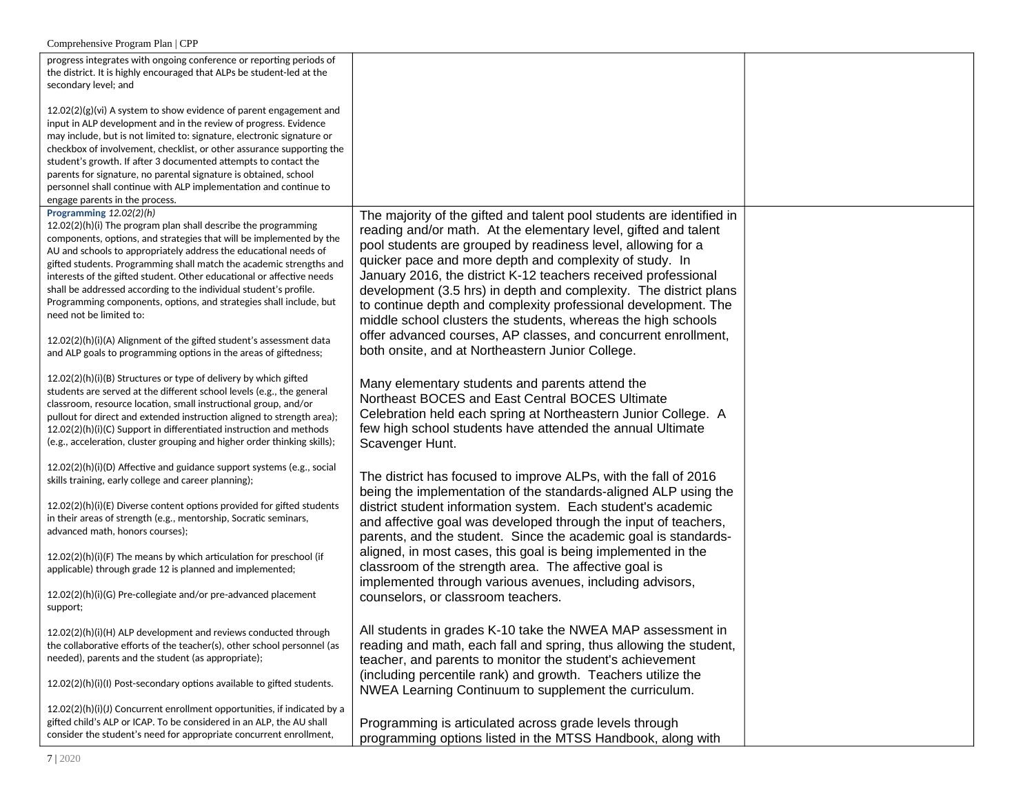| progress integrates with ongoing conference or reporting periods of<br>the district. It is highly encouraged that ALPs be student-led at the<br>secondary level; and                                                                                                                                                                                                                                                                                                                                                                                                                                                                                                                                  |                                                                                                                                                                                                                                                                                                                                                                                                                                                                                                                                                                                                                                                                     |  |
|-------------------------------------------------------------------------------------------------------------------------------------------------------------------------------------------------------------------------------------------------------------------------------------------------------------------------------------------------------------------------------------------------------------------------------------------------------------------------------------------------------------------------------------------------------------------------------------------------------------------------------------------------------------------------------------------------------|---------------------------------------------------------------------------------------------------------------------------------------------------------------------------------------------------------------------------------------------------------------------------------------------------------------------------------------------------------------------------------------------------------------------------------------------------------------------------------------------------------------------------------------------------------------------------------------------------------------------------------------------------------------------|--|
| $12.02(2)(g)(vi)$ A system to show evidence of parent engagement and<br>input in ALP development and in the review of progress. Evidence<br>may include, but is not limited to: signature, electronic signature or<br>checkbox of involvement, checklist, or other assurance supporting the                                                                                                                                                                                                                                                                                                                                                                                                           |                                                                                                                                                                                                                                                                                                                                                                                                                                                                                                                                                                                                                                                                     |  |
| student's growth. If after 3 documented attempts to contact the<br>parents for signature, no parental signature is obtained, school<br>personnel shall continue with ALP implementation and continue to<br>engage parents in the process.                                                                                                                                                                                                                                                                                                                                                                                                                                                             |                                                                                                                                                                                                                                                                                                                                                                                                                                                                                                                                                                                                                                                                     |  |
| Programming 12.02(2)(h)<br>12.02(2)(h)(i) The program plan shall describe the programming<br>components, options, and strategies that will be implemented by the<br>AU and schools to appropriately address the educational needs of<br>gifted students. Programming shall match the academic strengths and<br>interests of the gifted student. Other educational or affective needs<br>shall be addressed according to the individual student's profile.<br>Programming components, options, and strategies shall include, but<br>need not be limited to:<br>12.02(2)(h)(i)(A) Alignment of the gifted student's assessment data<br>and ALP goals to programming options in the areas of giftedness; | The majority of the gifted and talent pool students are identified in<br>reading and/or math. At the elementary level, gifted and talent<br>pool students are grouped by readiness level, allowing for a<br>quicker pace and more depth and complexity of study. In<br>January 2016, the district K-12 teachers received professional<br>development (3.5 hrs) in depth and complexity. The district plans<br>to continue depth and complexity professional development. The<br>middle school clusters the students, whereas the high schools<br>offer advanced courses, AP classes, and concurrent enrollment,<br>both onsite, and at Northeastern Junior College. |  |
| 12.02(2)(h)(i)(B) Structures or type of delivery by which gifted<br>students are served at the different school levels (e.g., the general<br>classroom, resource location, small instructional group, and/or<br>pullout for direct and extended instruction aligned to strength area);<br>12.02(2)(h)(i)(C) Support in differentiated instruction and methods<br>(e.g., acceleration, cluster grouping and higher order thinking skills);                                                                                                                                                                                                                                                             | Many elementary students and parents attend the<br>Northeast BOCES and East Central BOCES Ultimate<br>Celebration held each spring at Northeastern Junior College. A<br>few high school students have attended the annual Ultimate<br>Scavenger Hunt.                                                                                                                                                                                                                                                                                                                                                                                                               |  |
| 12.02(2)(h)(i)(D) Affective and guidance support systems (e.g., social<br>skills training, early college and career planning);<br>12.02(2)(h)(i)(E) Diverse content options provided for gifted students<br>in their areas of strength (e.g., mentorship, Socratic seminars,<br>advanced math, honors courses);                                                                                                                                                                                                                                                                                                                                                                                       | The district has focused to improve ALPs, with the fall of 2016<br>being the implementation of the standards-aligned ALP using the<br>district student information system. Each student's academic<br>and affective goal was developed through the input of teachers,<br>parents, and the student. Since the academic goal is standards-                                                                                                                                                                                                                                                                                                                            |  |
| 12.02(2)(h)(i)(F) The means by which articulation for preschool (if<br>applicable) through grade 12 is planned and implemented;                                                                                                                                                                                                                                                                                                                                                                                                                                                                                                                                                                       | aligned, in most cases, this goal is being implemented in the<br>classroom of the strength area. The affective goal is<br>implemented through various avenues, including advisors,                                                                                                                                                                                                                                                                                                                                                                                                                                                                                  |  |
| 12.02(2)(h)(i)(G) Pre-collegiate and/or pre-advanced placement<br>support;                                                                                                                                                                                                                                                                                                                                                                                                                                                                                                                                                                                                                            | counselors, or classroom teachers.                                                                                                                                                                                                                                                                                                                                                                                                                                                                                                                                                                                                                                  |  |
| 12.02(2)(h)(i)(H) ALP development and reviews conducted through<br>the collaborative efforts of the teacher(s), other school personnel (as<br>needed), parents and the student (as appropriate);                                                                                                                                                                                                                                                                                                                                                                                                                                                                                                      | All students in grades K-10 take the NWEA MAP assessment in<br>reading and math, each fall and spring, thus allowing the student,<br>teacher, and parents to monitor the student's achievement<br>(including percentile rank) and growth. Teachers utilize the                                                                                                                                                                                                                                                                                                                                                                                                      |  |
| 12.02(2)(h)(i)(I) Post-secondary options available to gifted students.                                                                                                                                                                                                                                                                                                                                                                                                                                                                                                                                                                                                                                | NWEA Learning Continuum to supplement the curriculum.                                                                                                                                                                                                                                                                                                                                                                                                                                                                                                                                                                                                               |  |
| 12.02(2)(h)(i)(J) Concurrent enrollment opportunities, if indicated by a<br>gifted child's ALP or ICAP. To be considered in an ALP, the AU shall<br>consider the student's need for appropriate concurrent enrollment,                                                                                                                                                                                                                                                                                                                                                                                                                                                                                | Programming is articulated across grade levels through<br>programming options listed in the MTSS Handbook, along with                                                                                                                                                                                                                                                                                                                                                                                                                                                                                                                                               |  |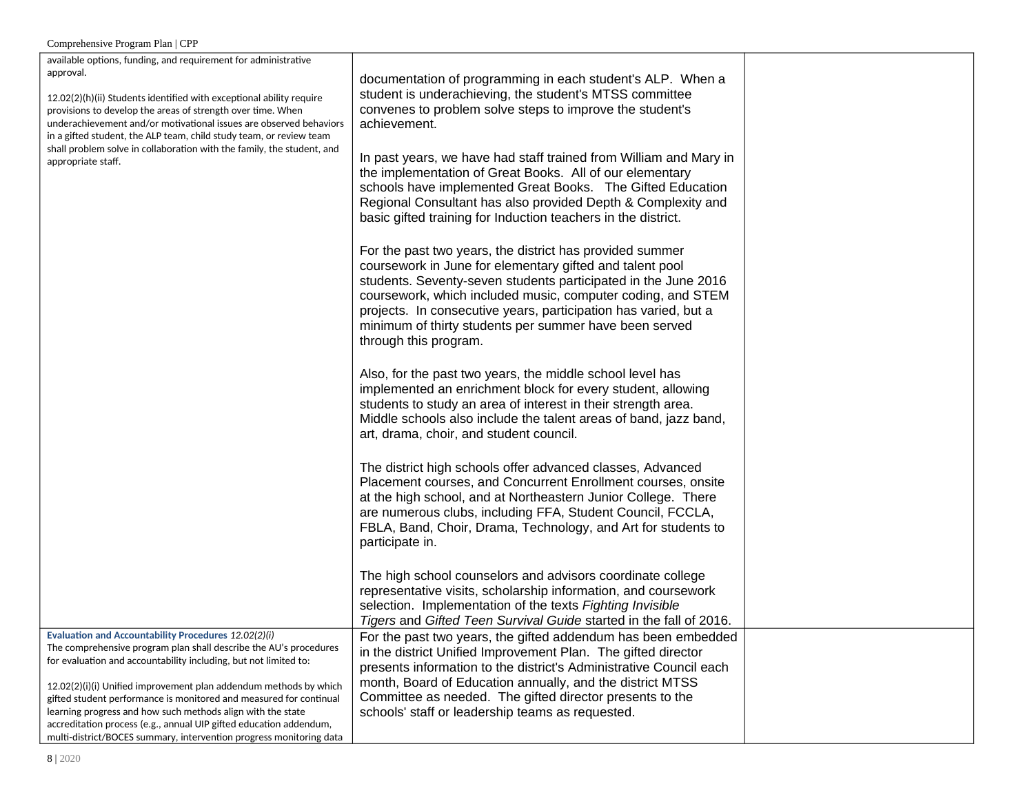| available options, funding, and requirement for administrative<br>approval.                                                                                                                                                                                                      |                                                                                                                                                                                                                                                                                                                                                                                                             |  |
|----------------------------------------------------------------------------------------------------------------------------------------------------------------------------------------------------------------------------------------------------------------------------------|-------------------------------------------------------------------------------------------------------------------------------------------------------------------------------------------------------------------------------------------------------------------------------------------------------------------------------------------------------------------------------------------------------------|--|
| 12.02(2)(h)(ii) Students identified with exceptional ability require<br>provisions to develop the areas of strength over time. When<br>underachievement and/or motivational issues are observed behaviors<br>in a gifted student, the ALP team, child study team, or review team | documentation of programming in each student's ALP. When a<br>student is underachieving, the student's MTSS committee<br>convenes to problem solve steps to improve the student's<br>achievement.                                                                                                                                                                                                           |  |
| shall problem solve in collaboration with the family, the student, and<br>appropriate staff.                                                                                                                                                                                     | In past years, we have had staff trained from William and Mary in<br>the implementation of Great Books. All of our elementary<br>schools have implemented Great Books. The Gifted Education<br>Regional Consultant has also provided Depth & Complexity and<br>basic gifted training for Induction teachers in the district.                                                                                |  |
|                                                                                                                                                                                                                                                                                  | For the past two years, the district has provided summer<br>coursework in June for elementary gifted and talent pool<br>students. Seventy-seven students participated in the June 2016<br>coursework, which included music, computer coding, and STEM<br>projects. In consecutive years, participation has varied, but a<br>minimum of thirty students per summer have been served<br>through this program. |  |
|                                                                                                                                                                                                                                                                                  | Also, for the past two years, the middle school level has<br>implemented an enrichment block for every student, allowing<br>students to study an area of interest in their strength area.<br>Middle schools also include the talent areas of band, jazz band,<br>art, drama, choir, and student council.                                                                                                    |  |
|                                                                                                                                                                                                                                                                                  | The district high schools offer advanced classes, Advanced<br>Placement courses, and Concurrent Enrollment courses, onsite<br>at the high school, and at Northeastern Junior College. There<br>are numerous clubs, including FFA, Student Council, FCCLA,<br>FBLA, Band, Choir, Drama, Technology, and Art for students to<br>participate in.                                                               |  |
|                                                                                                                                                                                                                                                                                  | The high school counselors and advisors coordinate college<br>representative visits, scholarship information, and coursework<br>selection. Implementation of the texts Fighting Invisible<br>Tigers and Gifted Teen Survival Guide started in the fall of 2016.                                                                                                                                             |  |
| Evaluation and Accountability Procedures 12.02(2)(i)<br>The comprehensive program plan shall describe the AU's procedures<br>for evaluation and accountability including, but not limited to:                                                                                    | For the past two years, the gifted addendum has been embedded<br>in the district Unified Improvement Plan. The gifted director<br>presents information to the district's Administrative Council each                                                                                                                                                                                                        |  |
| 12.02(2)(i)(i) Unified improvement plan addendum methods by which<br>gifted student performance is monitored and measured for continual<br>learning progress and how such methods align with the state                                                                           | month, Board of Education annually, and the district MTSS<br>Committee as needed. The gifted director presents to the<br>schools' staff or leadership teams as requested.                                                                                                                                                                                                                                   |  |
| accreditation process (e.g., annual UIP gifted education addendum,<br>multi-district/BOCES summary, intervention progress monitoring data                                                                                                                                        |                                                                                                                                                                                                                                                                                                                                                                                                             |  |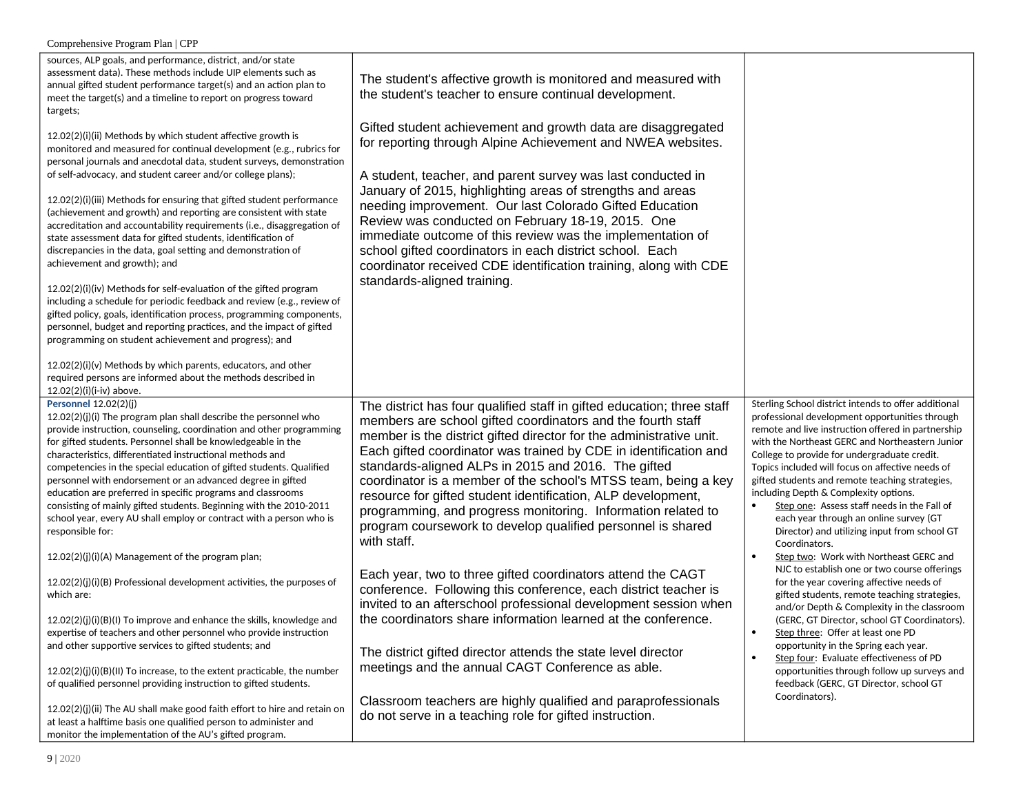| sources, ALP goals, and performance, district, and/or state<br>assessment data). These methods include UIP elements such as<br>annual gifted student performance target(s) and an action plan to<br>meet the target(s) and a timeline to report on progress toward<br>targets;<br>12.02(2)(i)(ii) Methods by which student affective growth is<br>monitored and measured for continual development (e.g., rubrics for<br>personal journals and anecdotal data, student surveys, demonstration<br>of self-advocacy, and student career and/or college plans);<br>12.02(2)(i)(iii) Methods for ensuring that gifted student performance<br>(achievement and growth) and reporting are consistent with state<br>accreditation and accountability requirements (i.e., disaggregation of<br>state assessment data for gifted students, identification of<br>discrepancies in the data, goal setting and demonstration of<br>achievement and growth); and<br>12.02(2)(i)(iv) Methods for self-evaluation of the gifted program<br>including a schedule for periodic feedback and review (e.g., review of<br>gifted policy, goals, identification process, programming components,<br>personnel, budget and reporting practices, and the impact of gifted<br>programming on student achievement and progress); and<br>12.02(2)(i)(v) Methods by which parents, educators, and other<br>required persons are informed about the methods described in<br>12.02(2)(i)(i-iv) above. | The student's affective growth is monitored and measured with<br>the student's teacher to ensure continual development.<br>Gifted student achievement and growth data are disaggregated<br>for reporting through Alpine Achievement and NWEA websites.<br>A student, teacher, and parent survey was last conducted in<br>January of 2015, highlighting areas of strengths and areas<br>needing improvement. Our last Colorado Gifted Education<br>Review was conducted on February 18-19, 2015. One<br>immediate outcome of this review was the implementation of<br>school gifted coordinators in each district school. Each<br>coordinator received CDE identification training, along with CDE<br>standards-aligned training.                                                                                                                                                                                                                                                                                                                                                                                                               |                                                                                                                                                                                                                                                                                                                                                                                                                                                                                                                                                                                                                                                                                                                                                                                                                                                                                                                                                                                                                                                                                                               |
|--------------------------------------------------------------------------------------------------------------------------------------------------------------------------------------------------------------------------------------------------------------------------------------------------------------------------------------------------------------------------------------------------------------------------------------------------------------------------------------------------------------------------------------------------------------------------------------------------------------------------------------------------------------------------------------------------------------------------------------------------------------------------------------------------------------------------------------------------------------------------------------------------------------------------------------------------------------------------------------------------------------------------------------------------------------------------------------------------------------------------------------------------------------------------------------------------------------------------------------------------------------------------------------------------------------------------------------------------------------------------------------------------------------------------------------------------------------------------|------------------------------------------------------------------------------------------------------------------------------------------------------------------------------------------------------------------------------------------------------------------------------------------------------------------------------------------------------------------------------------------------------------------------------------------------------------------------------------------------------------------------------------------------------------------------------------------------------------------------------------------------------------------------------------------------------------------------------------------------------------------------------------------------------------------------------------------------------------------------------------------------------------------------------------------------------------------------------------------------------------------------------------------------------------------------------------------------------------------------------------------------|---------------------------------------------------------------------------------------------------------------------------------------------------------------------------------------------------------------------------------------------------------------------------------------------------------------------------------------------------------------------------------------------------------------------------------------------------------------------------------------------------------------------------------------------------------------------------------------------------------------------------------------------------------------------------------------------------------------------------------------------------------------------------------------------------------------------------------------------------------------------------------------------------------------------------------------------------------------------------------------------------------------------------------------------------------------------------------------------------------------|
| Personnel 12.02(2)(j)<br>12.02(2)(j)(i) The program plan shall describe the personnel who<br>provide instruction, counseling, coordination and other programming<br>for gifted students. Personnel shall be knowledgeable in the<br>characteristics, differentiated instructional methods and<br>competencies in the special education of gifted students. Qualified<br>personnel with endorsement or an advanced degree in gifted<br>education are preferred in specific programs and classrooms<br>consisting of mainly gifted students. Beginning with the 2010-2011<br>school year, every AU shall employ or contract with a person who is<br>responsible for:<br>12.02(2)(j)(i)(A) Management of the program plan;<br>12.02(2)(j)(i)(B) Professional development activities, the purposes of<br>which are:<br>12.02(2)(j)(i)(B)(I) To improve and enhance the skills, knowledge and<br>expertise of teachers and other personnel who provide instruction<br>and other supportive services to gifted students; and<br>$12.02(2)(i)(i)(B)(II)$ To increase, to the extent practicable, the number<br>of qualified personnel providing instruction to gifted students.<br>12.02(2)(j)(ii) The AU shall make good faith effort to hire and retain on<br>at least a halftime basis one qualified person to administer and<br>monitor the implementation of the AU's gifted program.                                                                                      | The district has four qualified staff in gifted education; three staff<br>members are school gifted coordinators and the fourth staff<br>member is the district gifted director for the administrative unit.<br>Each gifted coordinator was trained by CDE in identification and<br>standards-aligned ALPs in 2015 and 2016. The gifted<br>coordinator is a member of the school's MTSS team, being a key<br>resource for gifted student identification, ALP development,<br>programming, and progress monitoring. Information related to<br>program coursework to develop qualified personnel is shared<br>with staff.<br>Each year, two to three gifted coordinators attend the CAGT<br>conference. Following this conference, each district teacher is<br>invited to an afterschool professional development session when<br>the coordinators share information learned at the conference.<br>The district gifted director attends the state level director<br>meetings and the annual CAGT Conference as able.<br>Classroom teachers are highly qualified and paraprofessionals<br>do not serve in a teaching role for gifted instruction. | Sterling School district intends to offer additional<br>professional development opportunities through<br>remote and live instruction offered in partnership<br>with the Northeast GERC and Northeastern Junior<br>College to provide for undergraduate credit.<br>Topics included will focus on affective needs of<br>gifted students and remote teaching strategies,<br>including Depth & Complexity options.<br>Step one: Assess staff needs in the Fall of<br>each year through an online survey (GT<br>Director) and utilizing input from school GT<br>Coordinators.<br>Step two: Work with Northeast GERC and<br>NJC to establish one or two course offerings<br>for the year covering affective needs of<br>gifted students, remote teaching strategies,<br>and/or Depth & Complexity in the classroom<br>(GERC, GT Director, school GT Coordinators).<br>Step three: Offer at least one PD<br>$\bullet$<br>opportunity in the Spring each year.<br>Step four: Evaluate effectiveness of PD<br>opportunities through follow up surveys and<br>feedback (GERC, GT Director, school GT<br>Coordinators). |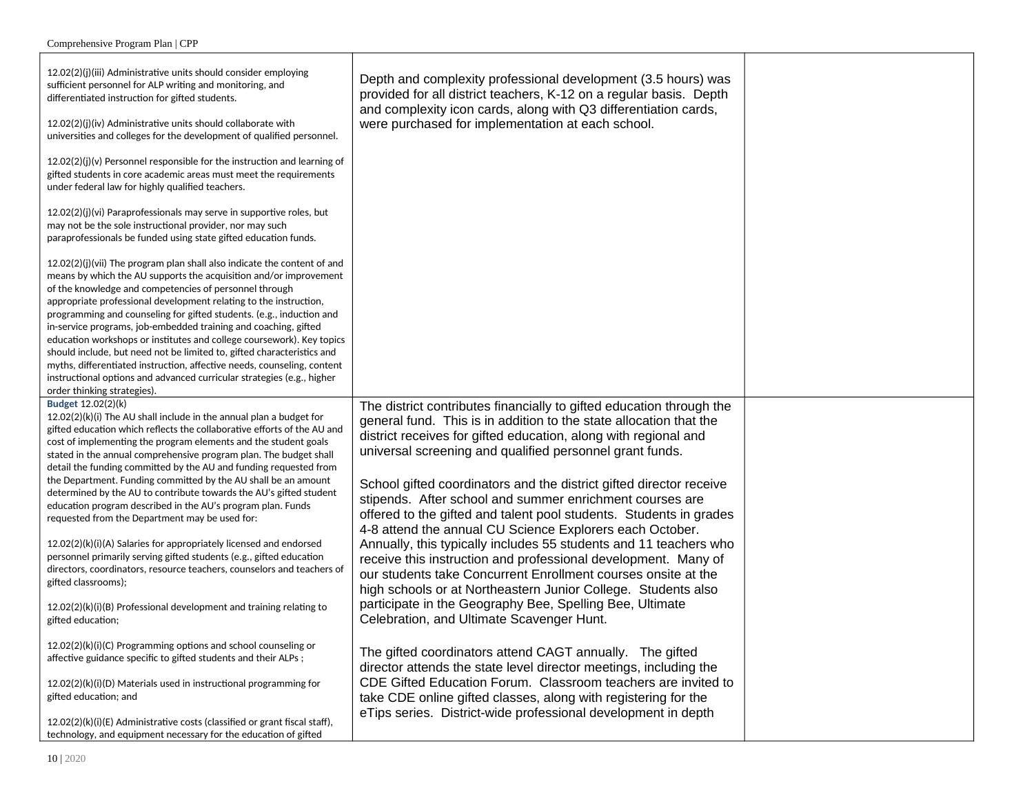| 12.02(2)(j)(iii) Administrative units should consider employing<br>sufficient personnel for ALP writing and monitoring, and<br>differentiated instruction for gifted students.<br>12.02(2)(j)(iv) Administrative units should collaborate with<br>universities and colleges for the development of qualified personnel.<br>$12.02(2)(j)(v)$ Personnel responsible for the instruction and learning of<br>gifted students in core academic areas must meet the requirements<br>under federal law for highly qualified teachers.<br>12.02(2)(i)(vi) Paraprofessionals may serve in supportive roles, but                                                                                                                                                                                                                                                              | Depth and complexity professional development (3.5 hours) was<br>provided for all district teachers, K-12 on a regular basis. Depth<br>and complexity icon cards, along with Q3 differentiation cards,<br>were purchased for implementation at each school.                                                                                                                                                                                                                                                                                                                                                                                                                           |  |
|---------------------------------------------------------------------------------------------------------------------------------------------------------------------------------------------------------------------------------------------------------------------------------------------------------------------------------------------------------------------------------------------------------------------------------------------------------------------------------------------------------------------------------------------------------------------------------------------------------------------------------------------------------------------------------------------------------------------------------------------------------------------------------------------------------------------------------------------------------------------|---------------------------------------------------------------------------------------------------------------------------------------------------------------------------------------------------------------------------------------------------------------------------------------------------------------------------------------------------------------------------------------------------------------------------------------------------------------------------------------------------------------------------------------------------------------------------------------------------------------------------------------------------------------------------------------|--|
| may not be the sole instructional provider, nor may such<br>paraprofessionals be funded using state gifted education funds.                                                                                                                                                                                                                                                                                                                                                                                                                                                                                                                                                                                                                                                                                                                                         |                                                                                                                                                                                                                                                                                                                                                                                                                                                                                                                                                                                                                                                                                       |  |
| $12.02(2)(j)(vii)$ The program plan shall also indicate the content of and<br>means by which the AU supports the acquisition and/or improvement<br>of the knowledge and competencies of personnel through<br>appropriate professional development relating to the instruction,<br>programming and counseling for gifted students. (e.g., induction and<br>in-service programs, job-embedded training and coaching, gifted<br>education workshops or institutes and college coursework). Key topics<br>should include, but need not be limited to, gifted characteristics and<br>myths, differentiated instruction, affective needs, counseling, content<br>instructional options and advanced curricular strategies (e.g., higher<br>order thinking strategies).                                                                                                    |                                                                                                                                                                                                                                                                                                                                                                                                                                                                                                                                                                                                                                                                                       |  |
| Budget 12.02(2)(k)<br>$12.02(2)(k)(i)$ The AU shall include in the annual plan a budget for<br>gifted education which reflects the collaborative efforts of the AU and<br>cost of implementing the program elements and the student goals<br>stated in the annual comprehensive program plan. The budget shall<br>detail the funding committed by the AU and funding requested from<br>the Department. Funding committed by the AU shall be an amount<br>determined by the AU to contribute towards the AU's gifted student<br>education program described in the AU's program plan. Funds<br>requested from the Department may be used for:<br>12.02(2)(k)(i)(A) Salaries for appropriately licensed and endorsed<br>personnel primarily serving gifted students (e.g., gifted education<br>directors, coordinators, resource teachers, counselors and teachers of | The district contributes financially to gifted education through the<br>general fund. This is in addition to the state allocation that the<br>district receives for gifted education, along with regional and<br>universal screening and qualified personnel grant funds.<br>School gifted coordinators and the district gifted director receive<br>stipends. After school and summer enrichment courses are<br>offered to the gifted and talent pool students. Students in grades<br>4-8 attend the annual CU Science Explorers each October.<br>Annually, this typically includes 55 students and 11 teachers who<br>receive this instruction and professional development. Many of |  |
| gifted classrooms);<br>12.02(2)(k)(i)(B) Professional development and training relating to<br>gifted education;                                                                                                                                                                                                                                                                                                                                                                                                                                                                                                                                                                                                                                                                                                                                                     | our students take Concurrent Enrollment courses onsite at the<br>high schools or at Northeastern Junior College. Students also<br>participate in the Geography Bee, Spelling Bee, Ultimate<br>Celebration, and Ultimate Scavenger Hunt.                                                                                                                                                                                                                                                                                                                                                                                                                                               |  |
| 12.02(2)(k)(i)(C) Programming options and school counseling or<br>affective guidance specific to gifted students and their ALPs;<br>12.02(2)(k)(i)(D) Materials used in instructional programming for<br>gifted education; and                                                                                                                                                                                                                                                                                                                                                                                                                                                                                                                                                                                                                                      | The gifted coordinators attend CAGT annually. The gifted<br>director attends the state level director meetings, including the<br>CDE Gifted Education Forum. Classroom teachers are invited to<br>take CDE online gifted classes, along with registering for the                                                                                                                                                                                                                                                                                                                                                                                                                      |  |
| 12.02(2)(k)(i)(E) Administrative costs (classified or grant fiscal staff),<br>technology, and equipment necessary for the education of gifted                                                                                                                                                                                                                                                                                                                                                                                                                                                                                                                                                                                                                                                                                                                       | eTips series. District-wide professional development in depth                                                                                                                                                                                                                                                                                                                                                                                                                                                                                                                                                                                                                         |  |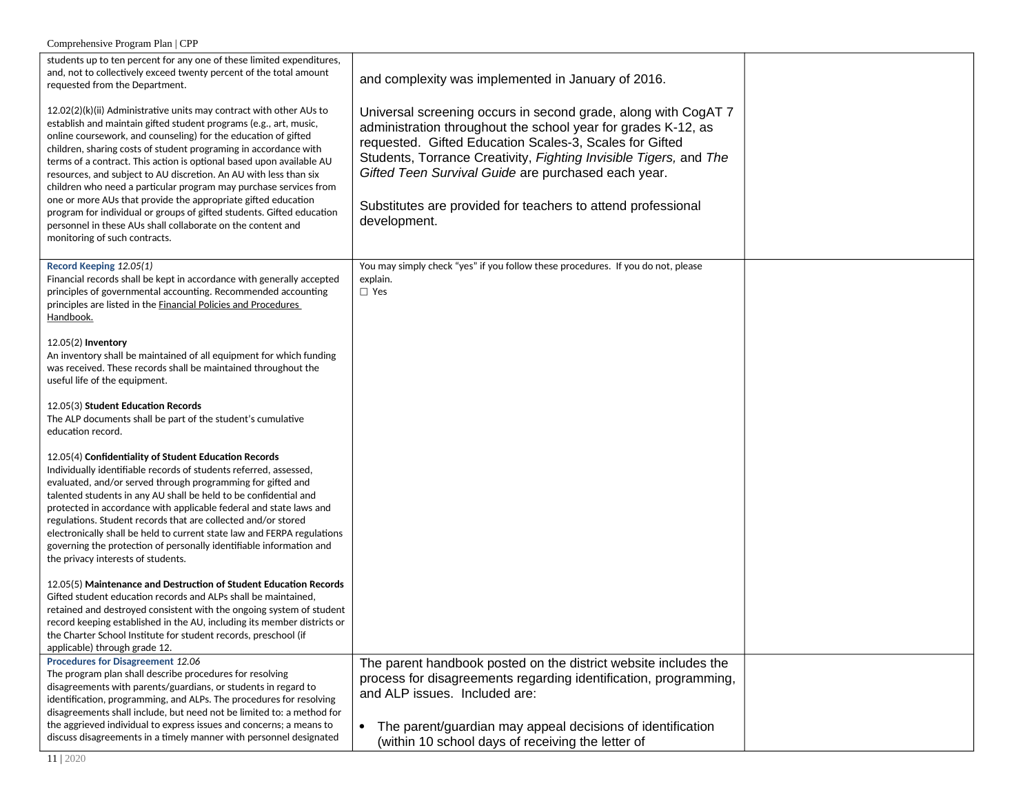| students up to ten percent for any one of these limited expenditures,<br>and, not to collectively exceed twenty percent of the total amount<br>requested from the Department.<br>12.02(2)(k)(ii) Administrative units may contract with other AUs to<br>establish and maintain gifted student programs (e.g., art, music,<br>online coursework, and counseling) for the education of gifted<br>children, sharing costs of student programing in accordance with<br>terms of a contract. This action is optional based upon available AU<br>resources, and subject to AU discretion. An AU with less than six<br>children who need a particular program may purchase services from<br>one or more AUs that provide the appropriate gifted education<br>program for individual or groups of gifted students. Gifted education<br>personnel in these AUs shall collaborate on the content and<br>monitoring of such contracts. | and complexity was implemented in January of 2016.<br>Universal screening occurs in second grade, along with CogAT 7<br>administration throughout the school year for grades K-12, as<br>requested. Gifted Education Scales-3, Scales for Gifted<br>Students, Torrance Creativity, Fighting Invisible Tigers, and The<br>Gifted Teen Survival Guide are purchased each year.<br>Substitutes are provided for teachers to attend professional<br>development. |  |
|-----------------------------------------------------------------------------------------------------------------------------------------------------------------------------------------------------------------------------------------------------------------------------------------------------------------------------------------------------------------------------------------------------------------------------------------------------------------------------------------------------------------------------------------------------------------------------------------------------------------------------------------------------------------------------------------------------------------------------------------------------------------------------------------------------------------------------------------------------------------------------------------------------------------------------|--------------------------------------------------------------------------------------------------------------------------------------------------------------------------------------------------------------------------------------------------------------------------------------------------------------------------------------------------------------------------------------------------------------------------------------------------------------|--|
| Record Keeping 12.05(1)<br>Financial records shall be kept in accordance with generally accepted<br>principles of governmental accounting. Recommended accounting<br>principles are listed in the <b>Financial Policies and Procedures</b><br><u>Handbook.</u>                                                                                                                                                                                                                                                                                                                                                                                                                                                                                                                                                                                                                                                              | You may simply check "yes" if you follow these procedures. If you do not, please<br>explain.<br>$\Box$ Yes                                                                                                                                                                                                                                                                                                                                                   |  |
| $12.05(2)$ Inventory<br>An inventory shall be maintained of all equipment for which funding<br>was received. These records shall be maintained throughout the<br>useful life of the equipment.                                                                                                                                                                                                                                                                                                                                                                                                                                                                                                                                                                                                                                                                                                                              |                                                                                                                                                                                                                                                                                                                                                                                                                                                              |  |
| 12.05(3) Student Education Records<br>The ALP documents shall be part of the student's cumulative<br>education record.                                                                                                                                                                                                                                                                                                                                                                                                                                                                                                                                                                                                                                                                                                                                                                                                      |                                                                                                                                                                                                                                                                                                                                                                                                                                                              |  |
| 12.05(4) Confidentiality of Student Education Records<br>Individually identifiable records of students referred, assessed,<br>evaluated, and/or served through programming for gifted and<br>talented students in any AU shall be held to be confidential and<br>protected in accordance with applicable federal and state laws and<br>regulations. Student records that are collected and/or stored<br>electronically shall be held to current state law and FERPA regulations<br>governing the protection of personally identifiable information and<br>the privacy interests of students.                                                                                                                                                                                                                                                                                                                                |                                                                                                                                                                                                                                                                                                                                                                                                                                                              |  |
| 12.05(5) Maintenance and Destruction of Student Education Records<br>Gifted student education records and ALPs shall be maintained,<br>retained and destroyed consistent with the ongoing system of student<br>record keeping established in the AU, including its member districts or<br>the Charter School Institute for student records, preschool (if<br>applicable) through grade 12.                                                                                                                                                                                                                                                                                                                                                                                                                                                                                                                                  |                                                                                                                                                                                                                                                                                                                                                                                                                                                              |  |
| <b>Procedures for Disagreement 12.06</b><br>The program plan shall describe procedures for resolving<br>disagreements with parents/guardians, or students in regard to<br>identification, programming, and ALPs. The procedures for resolving<br>disagreements shall include, but need not be limited to: a method for<br>the aggrieved individual to express issues and concerns; a means to<br>discuss disagreements in a timely manner with personnel designated                                                                                                                                                                                                                                                                                                                                                                                                                                                         | The parent handbook posted on the district website includes the<br>process for disagreements regarding identification, programming,<br>and ALP issues. Included are:<br>The parent/guardian may appeal decisions of identification<br>$\bullet$<br>(within 10 school days of receiving the letter of                                                                                                                                                         |  |